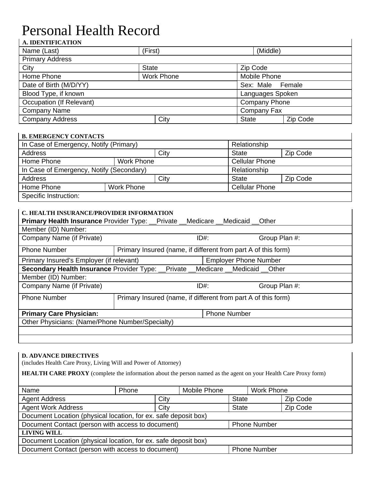# Personal Health Record

## **A. IDENTIFICATION**  Name (Last) (First) (First) (Middle) Primary Address City **State** State **Zip Code** Home Phone Mobile Phone Mobile Phone Mobile Phone Date of Birth (M/D/YY) Sex: Male Female Blood Type, if known Languages Spoken Occupation (If Relevant) Company Phone Company Name Company Fax Company Address Company Address Company Address Company Address Company Address Company Address Company City

## **B. EMERGENCY CONTACTS**

| In Case of Emergency, Notify (Primary)   |  |      | Relationship          |          |  |
|------------------------------------------|--|------|-----------------------|----------|--|
| <b>Address</b>                           |  | City | <b>State</b>          | Zip Code |  |
| Home Phone<br>Work Phone                 |  |      | <b>Cellular Phone</b> |          |  |
| In Case of Emergency, Notify (Secondary) |  |      | Relationship          |          |  |
| <b>Address</b>                           |  | City | <b>State</b>          | Zip Code |  |
| Home Phone<br><b>Work Phone</b>          |  |      | <b>Cellular Phone</b> |          |  |
| Specific Instruction:                    |  |      |                       |          |  |

## **C. HEALTH INSURANCE/PROVIDER INFORMATION**

| <b>Primary Health Insurance Provider Type: Private Medicare Medicaid Cther</b> |                                                               |                     |                              |  |
|--------------------------------------------------------------------------------|---------------------------------------------------------------|---------------------|------------------------------|--|
| Member (ID) Number:                                                            |                                                               |                     |                              |  |
| Company Name (if Private)                                                      |                                                               | $ID#$ :             | Group Plan #:                |  |
| <b>Phone Number</b>                                                            | Primary Insured (name, if different from part A of this form) |                     |                              |  |
| Primary Insured's Employer (if relevant)                                       |                                                               |                     | <b>Employer Phone Number</b> |  |
| Secondary Health Insurance Provider Type: _Private _Medicare _Medicaid _Other  |                                                               |                     |                              |  |
| Member (ID) Number:                                                            |                                                               |                     |                              |  |
| Company Name (if Private)                                                      |                                                               | $ID#$ :             | Group Plan #:                |  |
| <b>Phone Number</b>                                                            | Primary Insured (name, if different from part A of this form) |                     |                              |  |
| <b>Primary Care Physician:</b>                                                 |                                                               | <b>Phone Number</b> |                              |  |
| Other Physicians: (Name/Phone Number/Specialty)                                |                                                               |                     |                              |  |
|                                                                                |                                                               |                     |                              |  |
|                                                                                |                                                               |                     |                              |  |

## **D. ADVANCE DIRECTIVES**

(includes Health Care Proxy, Living Will and Power of Attorney)

**HEALTH CARE PROXY** (complete the information about the person named as the agent on your Health Care Proxy form)

| Name                                                                     | Phone | Mobile Phone |                     | Work Phone |  |  |  |
|--------------------------------------------------------------------------|-------|--------------|---------------------|------------|--|--|--|
| <b>Agent Address</b>                                                     | City  |              | <b>State</b>        | Zip Code   |  |  |  |
| <b>Agent Work Address</b>                                                |       |              | <b>State</b>        | Zip Code   |  |  |  |
| Document Location (physical location, for ex. safe deposit box)          |       |              |                     |            |  |  |  |
| Document Contact (person with access to document)<br><b>Phone Number</b> |       |              |                     |            |  |  |  |
| <b>LIVING WILL</b>                                                       |       |              |                     |            |  |  |  |
| Document Location (physical location, for ex. safe deposit box)          |       |              |                     |            |  |  |  |
| Document Contact (person with access to document)                        |       |              | <b>Phone Number</b> |            |  |  |  |